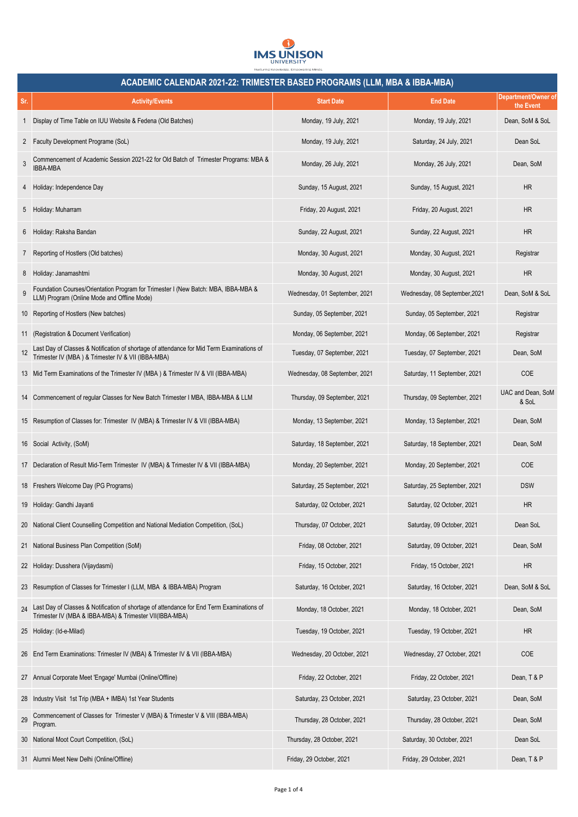

|                | ACADEMIC CALENDAR 2021-22: TRIMESTER BASED PROGRAMS (LLM, MBA & IBBA-MBA)                                                                            |                               |                               |                                  |  |
|----------------|------------------------------------------------------------------------------------------------------------------------------------------------------|-------------------------------|-------------------------------|----------------------------------|--|
| Sr.            | <b>Activity/Events</b>                                                                                                                               | <b>Start Date</b>             | <b>End Date</b>               | Department/Owner of<br>the Event |  |
| 1              | Display of Time Table on IUU Website & Fedena (Old Batches)                                                                                          | Monday, 19 July, 2021         | Monday, 19 July, 2021         | Dean, SoM & SoL                  |  |
| $\mathbf{2}$   | Faculty Development Programe (SoL)                                                                                                                   | Monday, 19 July, 2021         | Saturday, 24 July, 2021       | Dean SoL                         |  |
| 3              | Commencement of Academic Session 2021-22 for Old Batch of Trimester Programs: MBA &<br><b>IBBA-MBA</b>                                               | Monday, 26 July, 2021         | Monday, 26 July, 2021         | Dean, SoM                        |  |
| 4              | Holiday: Independence Day                                                                                                                            | Sunday, 15 August, 2021       | Sunday, 15 August, 2021       | HR                               |  |
| 5              | Holiday: Muharram                                                                                                                                    | Friday, 20 August, 2021       | Friday, 20 August, 2021       | <b>HR</b>                        |  |
| 6              | Holiday: Raksha Bandan                                                                                                                               | Sunday, 22 August, 2021       | Sunday, 22 August, 2021       | <b>HR</b>                        |  |
| 7 <sup>7</sup> | Reporting of Hostlers (Old batches)                                                                                                                  | Monday, 30 August, 2021       | Monday, 30 August, 2021       | Registrar                        |  |
| 8              | Holiday: Janamashtmi                                                                                                                                 | Monday, 30 August, 2021       | Monday, 30 August, 2021       | <b>HR</b>                        |  |
| 9              | Foundation Courses/Orientation Program for Trimester I (New Batch: MBA, IBBA-MBA & LLM) Program (Online Mode and Offline Mode)                       | Wednesday, 01 September, 2021 | Wednesday, 08 September, 2021 | Dean, SoM & SoL                  |  |
|                | 10 Reporting of Hostlers (New batches)                                                                                                               | Sunday, 05 September, 2021    | Sunday, 05 September, 2021    | Registrar                        |  |
|                | 11 (Registration & Document Verification)                                                                                                            | Monday, 06 September, 2021    | Monday, 06 September, 2021    | Registrar                        |  |
|                | Last Day of Classes & Notification of shortage of attendance for Mid Term Examinations of Trimester IV (MBA) & Trimester IV & VII (IBBA-MBA)         | Tuesday, 07 September, 2021   | Tuesday, 07 September, 2021   | Dean, SoM                        |  |
|                | 13 Mid Term Examinations of the Trimester IV (MBA) & Trimester IV & VII (IBBA-MBA)                                                                   | Wednesday, 08 September, 2021 | Saturday, 11 September, 2021  | <b>COE</b>                       |  |
|                | 14 Commencement of regular Classes for New Batch Trimester I MBA, IBBA-MBA & LLM                                                                     | Thursday, 09 September, 2021  | Thursday, 09 September, 2021  | UAC and Dean, SoM<br>& SoL       |  |
|                | 15 Resumption of Classes for: Trimester IV (MBA) & Trimester IV & VII (IBBA-MBA)                                                                     | Monday, 13 September, 2021    | Monday, 13 September, 2021    | Dean, SoM                        |  |
|                | 16 Social Activity, (SoM)                                                                                                                            | Saturday, 18 September, 2021  | Saturday, 18 September, 2021  | Dean, SoM                        |  |
|                | 17 Declaration of Result Mid-Term Trimester IV (MBA) & Trimester IV & VII (IBBA-MBA)                                                                 | Monday, 20 September, 2021    | Monday, 20 September, 2021    | <b>COE</b>                       |  |
|                | 18 Freshers Welcome Day (PG Programs)                                                                                                                | Saturday, 25 September, 2021  | Saturday, 25 September, 2021  | <b>DSW</b>                       |  |
|                | 19 Holiday: Gandhi Jayanti                                                                                                                           | Saturday, 02 October, 2021    | Saturday, 02 October, 2021    | <b>HR</b>                        |  |
|                | 20 National Client Counselling Competition and National Mediation Competition, (SoL)                                                                 | Thursday, 07 October, 2021    | Saturday, 09 October, 2021    | Dean SoL                         |  |
|                | 21 National Business Plan Competition (SoM)                                                                                                          | Friday, 08 October, 2021      | Saturday, 09 October, 2021    | Dean, SoM                        |  |
|                | 22 Holiday: Dusshera (Vijaydasmi)                                                                                                                    | Friday, 15 October, 2021      | Friday, 15 October, 2021      | <b>HR</b>                        |  |
|                | 23 Resumption of Classes for Trimester I (LLM, MBA & IBBA-MBA) Program                                                                               | Saturday, 16 October, 2021    | Saturday, 16 October, 2021    | Dean, SoM & SoL                  |  |
| 24             | Last Day of Classes & Notification of shortage of attendance for End Term Examinations of<br>Trimester IV (MBA & IBBA-MBA) & Trimester VII(IBBA-MBA) | Monday, 18 October, 2021      | Monday, 18 October, 2021      | Dean, SoM                        |  |
|                | 25 Holiday: (Id-e-Milad)                                                                                                                             | Tuesday, 19 October, 2021     | Tuesday, 19 October, 2021     | <b>HR</b>                        |  |
|                | 26 End Term Examinations: Trimester IV (MBA) & Trimester IV & VII (IBBA-MBA)                                                                         | Wednesday, 20 October, 2021   | Wednesday, 27 October, 2021   | COE                              |  |
|                | 27 Annual Corporate Meet 'Engage' Mumbai (Online/Offline)                                                                                            | Friday, 22 October, 2021      | Friday, 22 October, 2021      | Dean, T & P                      |  |
| 28             | Industry Visit 1st Trip (MBA + IMBA) 1st Year Students                                                                                               | Saturday, 23 October, 2021    | Saturday, 23 October, 2021    | Dean, SoM                        |  |
| 29             | Commencement of Classes for Trimester V (MBA) & Trimester V & VIII (IBBA-MBA)<br>Program.                                                            | Thursday, 28 October, 2021    | Thursday, 28 October, 2021    | Dean, SoM                        |  |
| 30             | National Moot Court Competition, (SoL)                                                                                                               | Thursday, 28 October, 2021    | Saturday, 30 October, 2021    | Dean SoL                         |  |
|                | 31 Alumni Meet New Delhi (Online/Offline)                                                                                                            | Friday, 29 October, 2021      | Friday, 29 October, 2021      | Dean, T & P                      |  |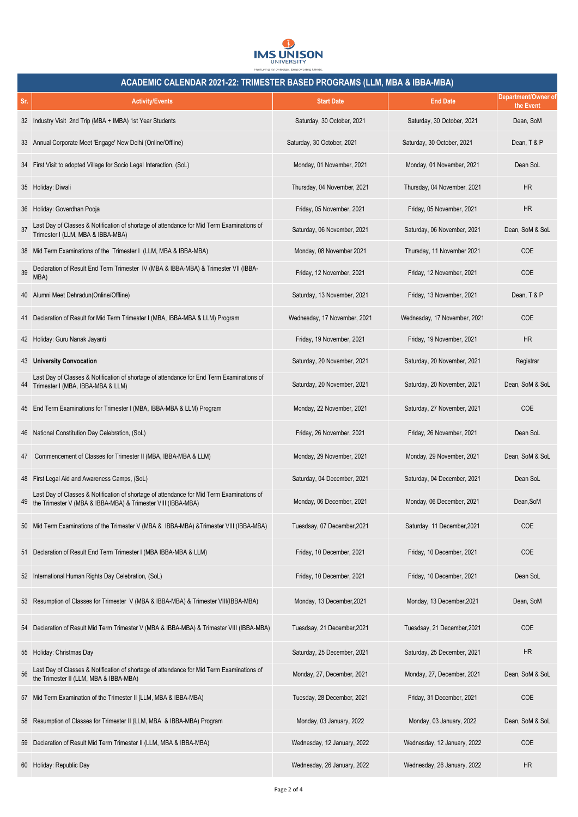

|     | ACADEMIC CALENDAR 2021-22: TRIMESTER BASED PROGRAMS (LLM, MBA & IBBA-MBA)                                                                                 |                              |                              |                                  |  |  |
|-----|-----------------------------------------------------------------------------------------------------------------------------------------------------------|------------------------------|------------------------------|----------------------------------|--|--|
| Sr. | <b>Activity/Events</b>                                                                                                                                    | <b>Start Date</b>            | <b>End Date</b>              | Department/Owner of<br>the Event |  |  |
|     | 32 Industry Visit 2nd Trip (MBA + IMBA) 1st Year Students                                                                                                 | Saturday, 30 October, 2021   | Saturday, 30 October, 2021   | Dean, SoM                        |  |  |
| 33  | Annual Corporate Meet 'Engage' New Delhi (Online/Offline)                                                                                                 | Saturday, 30 October, 2021   | Saturday, 30 October, 2021   | Dean, T & P                      |  |  |
|     | 34 First Visit to adopted Village for Socio Legal Interaction, (SoL)                                                                                      | Monday, 01 November, 2021    | Monday, 01 November, 2021    | Dean SoL                         |  |  |
|     | 35 Holiday: Diwali                                                                                                                                        | Thursday, 04 November, 2021  | Thursday, 04 November, 2021  | <b>HR</b>                        |  |  |
| 36  | Holiday: Goverdhan Pooja                                                                                                                                  | Friday, 05 November, 2021    | Friday, 05 November, 2021    | <b>HR</b>                        |  |  |
| 37  | Last Day of Classes & Notification of shortage of attendance for Mid Term Examinations of<br>Trimester I (LLM, MBA & IBBA-MBA)                            | Saturday, 06 November, 2021  | Saturday, 06 November, 2021  | Dean, SoM & SoL                  |  |  |
|     | 38 Mid Term Examinations of the Trimester I (LLM, MBA & IBBA-MBA)                                                                                         | Monday, 08 November 2021     | Thursday, 11 November 2021   | <b>COE</b>                       |  |  |
| 39  | Declaration of Result End Term Trimester IV (MBA & IBBA-MBA) & Trimester VII (IBBA-<br>MBA)                                                               | Friday, 12 November, 2021    | Friday, 12 November, 2021    | COE                              |  |  |
| 40  | Alumni Meet Dehradun(Online/Offline)                                                                                                                      | Saturday, 13 November, 2021  | Friday, 13 November, 2021    | Dean, T & P                      |  |  |
|     | 41 Declaration of Result for Mid Term Trimester I (MBA, IBBA-MBA & LLM) Program                                                                           | Wednesday, 17 November, 2021 | Wednesday, 17 November, 2021 | COE                              |  |  |
|     | 42 Holiday: Guru Nanak Jayanti                                                                                                                            | Friday, 19 November, 2021    | Friday, 19 November, 2021    | <b>HR</b>                        |  |  |
|     | 43 University Convocation                                                                                                                                 | Saturday, 20 November, 2021  | Saturday, 20 November, 2021  | Registrar                        |  |  |
| 44  | Last Day of Classes & Notification of shortage of attendance for End Term Examinations of<br>Trimester I (MBA, IBBA-MBA & LLM)                            | Saturday, 20 November, 2021  | Saturday, 20 November, 2021  | Dean, SoM & SoL                  |  |  |
|     | 45 End Term Examinations for Trimester I (MBA, IBBA-MBA & LLM) Program                                                                                    | Monday, 22 November, 2021    | Saturday, 27 November, 2021  | <b>COE</b>                       |  |  |
|     | 46 National Constitution Day Celebration, (SoL)                                                                                                           | Friday, 26 November, 2021    | Friday, 26 November, 2021    | Dean SoL                         |  |  |
| 47  | Commencement of Classes for Trimester II (MBA, IBBA-MBA & LLM)                                                                                            | Monday, 29 November, 2021    | Monday, 29 November, 2021    | Dean, SoM & SoL                  |  |  |
|     | 48 First Legal Aid and Awareness Camps, (SoL)                                                                                                             | Saturday, 04 December, 2021  | Saturday, 04 December, 2021  | Dean SoL                         |  |  |
|     | Last Day of Classes & Notification of shortage of attendance for Mid Term Examinations of<br>the Trimester V (MBA & IBBA-MBA) & Trimester VIII (IBBA-MBA) | Monday, 06 December, 2021    | Monday, 06 December, 2021    | Dean, SoM                        |  |  |
|     | 50 Mid Term Examinations of the Trimester V (MBA & IBBA-MBA) & Trimester VIII (IBBA-MBA)                                                                  | Tuesdsay, 07 December, 2021  | Saturday, 11 December, 2021  | COE                              |  |  |
|     | 51 Declaration of Result End Term Trimester I (MBA IBBA-MBA & LLM)                                                                                        | Friday, 10 December, 2021    | Friday, 10 December, 2021    | COE                              |  |  |
|     | 52 International Human Rights Day Celebration, (SoL)                                                                                                      | Friday, 10 December, 2021    | Friday, 10 December, 2021    | Dean SoL                         |  |  |
|     | 53 Resumption of Classes for Trimester V (MBA & IBBA-MBA) & Trimester VIII(IBBA-MBA)                                                                      | Monday, 13 December, 2021    | Monday, 13 December, 2021    | Dean, SoM                        |  |  |
|     | 54 Declaration of Result Mid Term Trimester V (MBA & IBBA-MBA) & Trimester VIII (IBBA-MBA)                                                                | Tuesdsay, 21 December, 2021  | Tuesdsay, 21 December, 2021  | COE                              |  |  |
|     | 55 Holiday: Christmas Day                                                                                                                                 | Saturday, 25 December, 2021  | Saturday, 25 December, 2021  | <b>HR</b>                        |  |  |
| 56  | Last Day of Classes & Notification of shortage of attendance for Mid Term Examinations of<br>the Trimester II (LLM, MBA & IBBA-MBA)                       | Monday, 27, December, 2021   | Monday, 27, December, 2021   | Dean, SoM & SoL                  |  |  |
|     | 57 Mid Term Examination of the Trimester II (LLM, MBA & IBBA-MBA)                                                                                         | Tuesday, 28 December, 2021   | Friday, 31 December, 2021    | COE                              |  |  |
|     | 58 Resumption of Classes for Trimester II (LLM, MBA & IBBA-MBA) Program                                                                                   | Monday, 03 January, 2022     | Monday, 03 January, 2022     | Dean, SoM & SoL                  |  |  |
|     | 59 Declaration of Result Mid Term Trimester II (LLM, MBA & IBBA-MBA)                                                                                      | Wednesday, 12 January, 2022  | Wednesday, 12 January, 2022  | <b>COE</b>                       |  |  |
|     | 60 Holiday: Republic Day                                                                                                                                  | Wednesday, 26 January, 2022  | Wednesday, 26 January, 2022  | <b>HR</b>                        |  |  |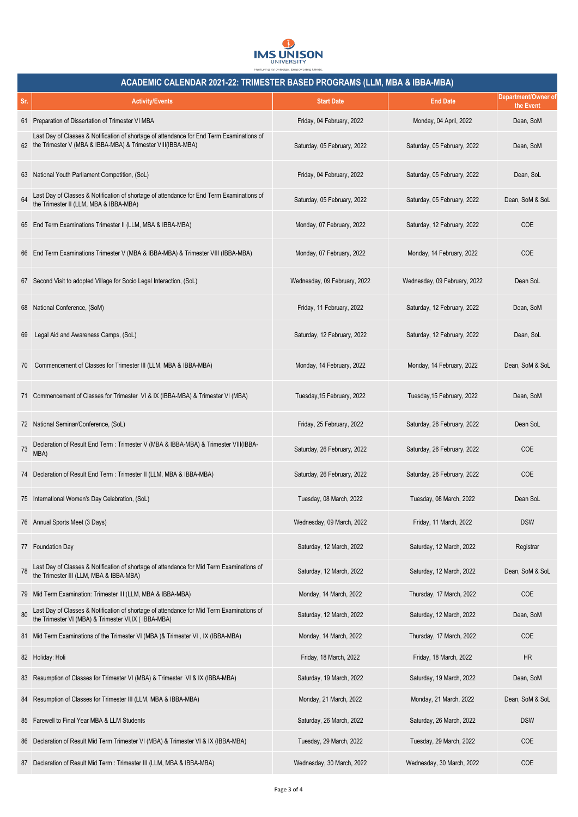

| ACADEMIC CALENDAR 2021-22: TRIMESTER BASED PROGRAMS (LLM, MBA & IBBA-MBA) |                                                                                                                                                             |                              |                              |                                  |  |
|---------------------------------------------------------------------------|-------------------------------------------------------------------------------------------------------------------------------------------------------------|------------------------------|------------------------------|----------------------------------|--|
| Sr.                                                                       | <b>Activity/Events</b>                                                                                                                                      | <b>Start Date</b>            | <b>End Date</b>              | Department/Owner of<br>the Event |  |
|                                                                           | 61 Preparation of Dissertation of Trimester VI MBA                                                                                                          | Friday, 04 February, 2022    | Monday, 04 April, 2022       | Dean, SoM                        |  |
|                                                                           | Last Day of Classes & Notification of shortage of attendance for End Term Examinations of<br>62 the Trimester V (MBA & IBBA-MBA) & Trimester VIII(IBBA-MBA) | Saturday, 05 February, 2022  | Saturday, 05 February, 2022  | Dean, SoM                        |  |
|                                                                           | 63 National Youth Parliament Competition, (SoL)                                                                                                             | Friday, 04 February, 2022    | Saturday, 05 February, 2022  | Dean, SoL                        |  |
| 64                                                                        | Last Day of Classes & Notification of shortage of attendance for End Term Examinations of the Trimester II (LLM, MBA & IBBA-MBA)                            | Saturday, 05 February, 2022  | Saturday, 05 February, 2022  | Dean, SoM & SoL                  |  |
|                                                                           | 65 End Term Examinations Trimester II (LLM, MBA & IBBA-MBA)                                                                                                 | Monday, 07 February, 2022    | Saturday, 12 February, 2022  | <b>COE</b>                       |  |
|                                                                           | 66 End Term Examinations Trimester V (MBA & IBBA-MBA) & Trimester VIII (IBBA-MBA)                                                                           | Monday, 07 February, 2022    | Monday, 14 February, 2022    | <b>COE</b>                       |  |
|                                                                           | 67 Second Visit to adopted Village for Socio Legal Interaction, (SoL)                                                                                       | Wednesday, 09 February, 2022 | Wednesday, 09 February, 2022 | Dean SoL                         |  |
|                                                                           | 68 National Conference, (SoM)                                                                                                                               | Friday, 11 February, 2022    | Saturday, 12 February, 2022  | Dean, SoM                        |  |
| 69                                                                        | Legal Aid and Awareness Camps, (SoL)                                                                                                                        | Saturday, 12 February, 2022  | Saturday, 12 February, 2022  | Dean, SoL                        |  |
| 70                                                                        | Commencement of Classes for Trimester III (LLM, MBA & IBBA-MBA)                                                                                             | Monday, 14 February, 2022    | Monday, 14 February, 2022    | Dean, SoM & SoL                  |  |
|                                                                           | 71 Commencement of Classes for Trimester VI & IX (IBBA-MBA) & Trimester VI (MBA)                                                                            | Tuesday, 15 February, 2022   | Tuesday, 15 February, 2022   | Dean, SoM                        |  |
|                                                                           | 72 National Seminar/Conference, (SoL)                                                                                                                       | Friday, 25 February, 2022    | Saturday, 26 February, 2022  | Dean SoL                         |  |
| 73                                                                        | Declaration of Result End Term : Trimester V (MBA & IBBA-MBA) & Trimester VIII(IBBA-<br>MBA)                                                                | Saturday, 26 February, 2022  | Saturday, 26 February, 2022  | <b>COE</b>                       |  |
|                                                                           | 74 Declaration of Result End Term : Trimester II (LLM, MBA & IBBA-MBA)                                                                                      | Saturday, 26 February, 2022  | Saturday, 26 February, 2022  | <b>COE</b>                       |  |
|                                                                           | 75 International Women's Day Celebration, (SoL)                                                                                                             | Tuesday, 08 March, 2022      | Tuesday, 08 March, 2022      | Dean SoL                         |  |
|                                                                           | 76 Annual Sports Meet (3 Days)                                                                                                                              | Wednesday, 09 March, 2022    | Friday, 11 March, 2022       | <b>DSW</b>                       |  |
|                                                                           | 77 Foundation Day                                                                                                                                           | Saturday, 12 March, 2022     | Saturday, 12 March, 2022     | Registrar                        |  |
| 78                                                                        | Last Day of Classes & Notification of shortage of attendance for Mid Term Examinations of<br>the Trimester III (LLM, MBA & IBBA-MBA)                        | Saturday, 12 March, 2022     | Saturday, 12 March, 2022     | Dean, SoM & SoL                  |  |
|                                                                           | 79 Mid Term Examination: Trimester III (LLM, MBA & IBBA-MBA)                                                                                                | Monday, 14 March, 2022       | Thursday, 17 March, 2022     | COE                              |  |
| 80                                                                        | Last Day of Classes & Notification of shortage of attendance for Mid Term Examinations of the Trimester VI (MBA) & Trimester VI, IX ( IBBA-MBA)             | Saturday, 12 March, 2022     | Saturday, 12 March, 2022     | Dean, SoM                        |  |
|                                                                           | 81 Mid Term Examinations of the Trimester VI (MBA)& Trimester VI, IX (IBBA-MBA)                                                                             | Monday, 14 March, 2022       | Thursday, 17 March, 2022     | COE                              |  |
|                                                                           | 82 Holiday: Holi                                                                                                                                            | Friday, 18 March, 2022       | Friday, 18 March, 2022       | <b>HR</b>                        |  |
|                                                                           | 83 Resumption of Classes for Trimester VI (MBA) & Trimester VI & IX (IBBA-MBA)                                                                              | Saturday, 19 March, 2022     | Saturday, 19 March, 2022     | Dean, SoM                        |  |
|                                                                           | 84 Resumption of Classes for Trimester III (LLM, MBA & IBBA-MBA)                                                                                            | Monday, 21 March, 2022       | Monday, 21 March, 2022       | Dean, SoM & SoL                  |  |
| 85                                                                        | Farewell to Final Year MBA & LLM Students                                                                                                                   | Saturday, 26 March, 2022     | Saturday, 26 March, 2022     | <b>DSW</b>                       |  |
|                                                                           | 86 Declaration of Result Mid Term Trimester VI (MBA) & Trimester VI & IX (IBBA-MBA)                                                                         | Tuesday, 29 March, 2022      | Tuesday, 29 March, 2022      | COE                              |  |
|                                                                           | 87 Declaration of Result Mid Term : Trimester III (LLM, MBA & IBBA-MBA)                                                                                     | Wednesday, 30 March, 2022    | Wednesday, 30 March, 2022    | COE                              |  |